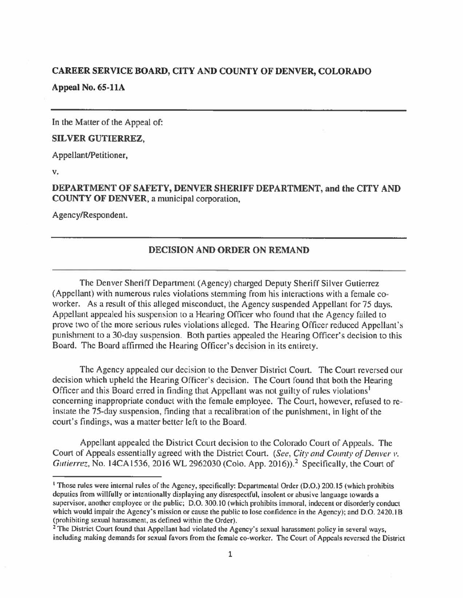## **CAREER SERVICE BOARD, CITY AND COUNTY OF DENVER, COLORADO Appeal No. 65-llA**

In the Matter of the Appeal of:

## **SILVER GUTIERREZ,**

Appellant/Petitioner,

**V.** 

**DEPARTMENT OF SAFETY, DENVER SHERIFF DEPARTMENT, and the CITY AND COUNTY OF DENVER,** a municipal corporation,

Agency/Respondent.

## **DECISION AND ORDER ON REMAND**

The Denver Sheriff Department (Agency) charged Deputy Sheriff Silver Gutierrez (Appellant) with numerous rules violations stemming from his interactions with a female coworker. As a result of this alleged misconduct, the Agency suspended Appellant for 75 days. Appellant appealed his suspension to a Hearing Officer who found that the Agency failed to prove two of the more serious rules violations alleged. The Hearing Officer reduced Appellant's punishment to a 30-day suspension. Both parties appealed the Hearing Officer's decision to this Board. The Board affirmed the Hearing Officer's decision in its entirety.

The Agency appealed our decision to the Denver District Court. The Court reversed our decision which upheld the Hearing Officer's decision. The Court found that both the Hearing Officer and this Board erred in finding that Appellant was not guilty of rules violations<sup>1</sup> concerning inappropriate conduct with the female employee. The Court, however, refused to reinstate the 75-day suspension, finding that a recalibration of the punishment, in light of the court's findings, was a matter better left to the Board.

Appellant appealed the District Court decision to the Colorado Court of Appeals. The Court of Appeals essentially agreed with the District Court. *(See, City and County of Denver v.*) *Gutierrez*, No. 14CA1536, 2016 WL 2962030 (Colo. App. 2016)).<sup>2</sup> Specifically, the Court of

<sup>1</sup> Those rules were internal rules of the Agency, specifically: Departmental Order (D.O.) 200.15 (which prohibits deputies from willfully or intentionally displaying any disrespectful, insolent or abusive language towards a supervisor, another employee or the public; D.O. 300.10 (which prohibits immoral, indecent or disorderly conduct which would impair the Agency's mission or cause the public to lose confidence in the Agency); and D.O. 2420.1B (prohibiting sexual harassment, as defined within the Order).

<sup>&</sup>lt;sup>2</sup> The District Court found that Appellant had violated the Agency's sexual harassment policy in several ways, including making demands for sexual favors from the female co•worker. The Court of Appeals reversed the District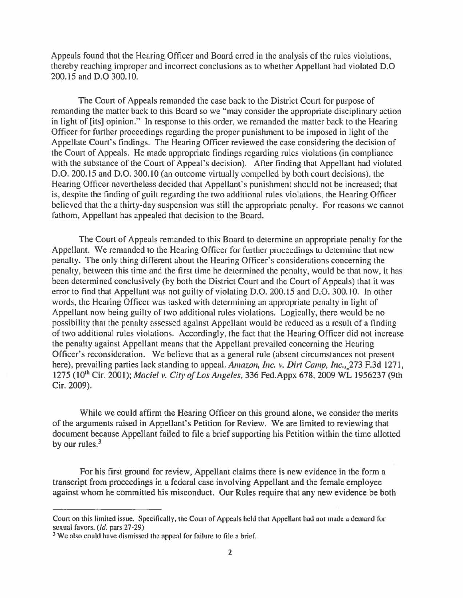Appeals found that the Hearing Officer and Board erred in the analysis of the rules violations, thereby reaching improper and incorrect conclusions as to whether Appellant had violated D.O 200.15 and D.O 300.10.

The Court of Appeals remanded the case back to the District Court for purpose of remanding the matter back to this Board so we "may consider the appropriate disciplinary action in light of [its] opinion." In response to this order, we remanded the matter back to the Hearing Officer for further proceedings regarding the proper punishment to be imposed in light of the Appellate Court's findings. The Hearing Officer reviewed the case considering the decision of the Court of Appeals. He made appropriate findings regarding rules violations (in compliance with the substance of the Court of Appeal's decision). After finding that Appellant had violated D.O. 200.15 and D.O. 300.10 (an outcome virtually compelled by both court decisions), the Hearing Officer nevertheless decided that Appellant's punishment should not be increased; that is, despite the finding of guilt regarding the two additional rules violations, the Hearing Officer believed that the a thirty-day suspension was still the appropriate penalty. For reasons we cannot fathom, Appellant has appealed that decision to the Board.

The Court of Appeals remanded to this Board to determine an appropriate penalty for the Appellant. We remanded to the Hearing Officer for further proceedings to determine that new penalty. The only thing different about the Hearing Officer's considerations concerning the penalty, between this time and the first time he determined the penalty, would be that now, it has been determined conclusively (by both the District Court and the Court of Appeals) that it was error to find that Appellant was not guilty of violating D.O. 200.15 and D.O. 300.10. In other words, the Hearing Officer was tasked with determining an appropriate penalty in light of Appellant now being guilty of two additional rules violations. Logically, there would be no possibility that the penalty assessed against Appellant would be reduced as a result of a finding of two additional rules violations. Accordingly, the fact that the Hearing Officer did not increase the penalty against Appellant means that the Appellant prevailed concerning the Hearing Officer's reconsideration. We believe that as a general rule (absent circumstances not present here), prevailing parties lack standing to appeal. Amazon, *Inc. v. Dirt Camp, Inc.*, 273 F.3d 1271, 1275 (10th Cir. 2001 ); *Maciel v. City of Los Angeles,* 336 Fed.Appx 678, 2009 WL 1956237 (9th Cir. 2009).

While we could affirm the Hearing Officer on this ground alone, we consider the merits of the arguments raised in Appellant's Petition for Review. We are limited to reviewing that document because Appellant failed to file a brief supporting his Petition within the time allotted by our rules. $3$ 

For his first ground for review, Appellant claims there is new evidence in the form a transcript from proceedings in a federal case involving Appellant and the female employee against whom he committed his misconduct. Our Rules require that any new evidence be both

Court on this limited issue. Specifically, the Court or Appeals held that Appellant had not made a demand for sexual favors. *(Id,* pars 27-29)

<sup>&</sup>lt;sup>3</sup> We also could have dismissed the appeal for failure to file a brief.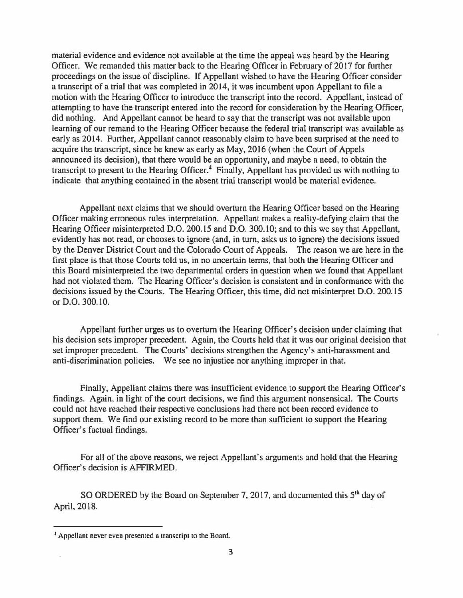material evidence and evidence not available at the time the appeal was heard by the Hearing Officer. We remanded this matter back to the Hearing Officer in February of 2017 for further proceedings on the issue of discipline. If Appellant wished to have the Hearing Officer consider a transcript of a trial that was completed in 2014, it was incumbent upon Appellant to file a motion with the Hearing Officer to introduce the transcript into the record. Appellant, instead of attempting to have the transcript entered into the record for consideration by the Hearing Officer, did nothing. And Appellant cannot be heard to say that the transcript was not available upon learning of our remand to the Hearing Officer because the federal trial transcript was available as early as 2014. Further, Appellant cannot reasonably claim to have been surprised at the need to acquire the transcript, since he knew as early as May, 2016 (when the Court of Appels announced its decision), that there would be an opportunity, and maybe a need, to obtain the transcript to present to the Hearing Officer.<sup>4</sup> Finally, Appellant has provided us with nothing to indicate that anything contained in the absent trial transcript would be material evidence.

Appellant next claims that we should overturn the Hearing Officer based on the Hearing Officer making erroneous rules interpretation. Appellant makes a reality-defying claim that the Hearing Officer misinterpreted D.O. 200.15 and D.O. 300.10; and to this we say that Appellant, evidently has not read, or chooses to ignore (and, in turn, asks us to ignore) the decisions issued by the Denver District Court and the Colorado Court of Appeals. The reason we are here in the first place is that those Courts told us, in no uncertain terms, that both the Hearing Officer and this Board misinterpreted the two departmental orders in question when we found that Appellant had not violated them. The Hearing Officer's decision is consistent and in conformance with the decisions issued by the Courts. The Hearing Officer, this time, did not misinterpret D.O. 200.15 or D.O. 300.10.

Appellant further urges us to overturn the Hearing Officer's decision under claiming that his decision sets improper precedent. Again, the Courts held that it was our original decision that set improper precedent. The Courts' decisions strengthen the Agency's anti-harassment and anti-discrimination policies. We see no injustice nor anything improper in that.

Finally, Appellant claims there was insufficient evidence to support the Hearing Officer's findings. Again, in light of the court decisions, we find this argument nonsensical. The Courts could not have reached their respective conclusions had there not been record evidence to support them. We find our existing record to be more than sufficient to support the Hearing Officer's factual findings.

For all of the above reasons, we reject Appellant's arguments and hold that the Hearing Officer's decision is AFFIRMED.

SO ORDERED by the Board on September 7, 2017, and documented this 5<sup>th</sup> day of April, 2018.

<sup>4</sup>Appellant never even presented a transcript to the Board.